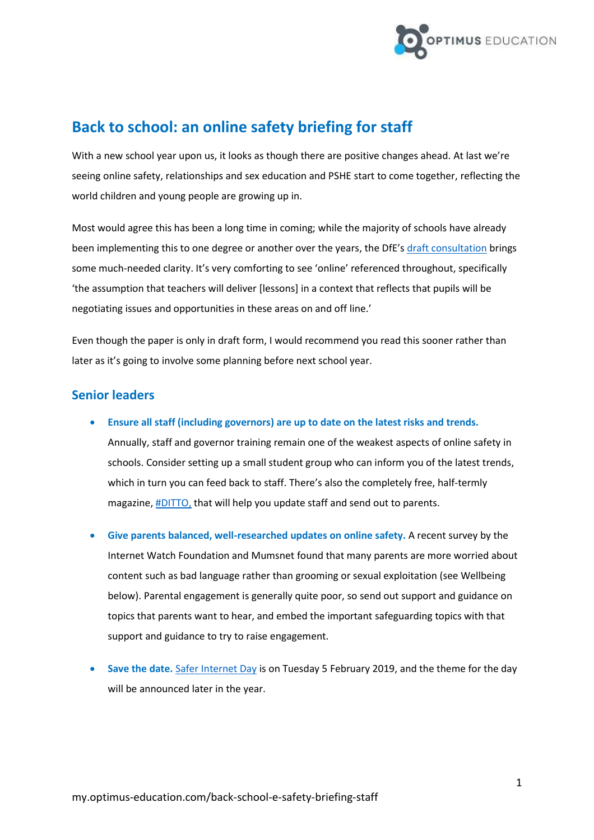

# **Back to school: an online safety briefing for staff**

With a new school year upon us, it looks as though there are positive changes ahead. At last we're seeing online safety, relationships and sex education and PSHE start to come together, reflecting the world children and young people are growing up in.

Most would agree this has been a long time in coming; while the majority of schools have already been implementing this to one degree or another over the years, the DfE's [draft consultation](https://consult.education.gov.uk/pshe/relationships-education-rse-health-education/supporting_documents/Final%20DRAFT.%20JULY%202018_Relationships%20Education_RSE_Health%20Educ.._%20002.pdf) brings some much-needed clarity. It's very comforting to see 'online' referenced throughout, specifically 'the assumption that teachers will deliver [lessons] in a context that reflects that pupils will be negotiating issues and opportunities in these areas on and off line.'

Even though the paper is only in draft form, I would recommend you read this sooner rather than later as it's going to involve some planning before next school year.

### **Senior leaders**

- **Ensure all staff (including governors) are up to date on the latest risks and trends.** 
	- Annually, staff and governor training remain one of the weakest aspects of online safety in schools. Consider setting up a small student group who can inform you of the latest trends, which in turn you can feed back to staff. There's also the completely free, half-termly magazine, **#DITTO**, that will help you update staff and send out to parents.
- **Give parents balanced, well-researched updates on online safety.** A recent survey by the Internet Watch Foundation and Mumsnet found that many parents are more worried about content such as bad language rather than grooming or sexual exploitation (see Wellbeing below). Parental engagement is generally quite poor, so send out support and guidance on topics that parents want to hear, and embed the important safeguarding topics with that support and guidance to try to raise engagement.
- **Save the date.** [Safer Internet Day](https://www.saferinternet.org.uk/safer-internet-day) is on Tuesday 5 February 2019, and the theme for the day will be announced later in the year.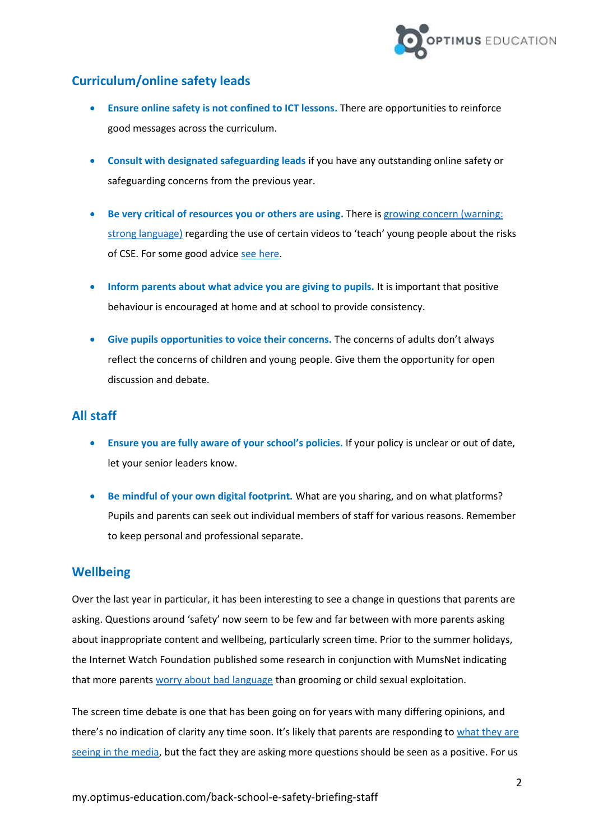

## **Curriculum/online safety leads**

- **Ensure online safety is not confined to ICT lessons.** There are opportunities to reinforce good messages across the curriculum.
- **Consult with designated safeguarding leads** if you have any outstanding online safety or safeguarding concerns from the previous year.
- **Be very critical of resources you or others are using.** There i[s growing concern \(warning:](https://victimfocus.wordpress.com/2017/07/08/please-stop-using-all-cse-resources-heres-why/)  [strong language\)](https://victimfocus.wordpress.com/2017/07/08/please-stop-using-all-cse-resources-heres-why/) regarding the use of certain videos to 'teach' young people about the risks of CSE. For some good advic[e see here.](https://www.teachwire.net/news/what-do-i-need-to-know-about-child-sexual-exploitation-cse)
- **Inform parents about what advice you are giving to pupils.** It is important that positive behaviour is encouraged at home and at school to provide consistency.
- **Give pupils opportunities to voice their concerns.** The concerns of adults don't always reflect the concerns of children and young people. Give them the opportunity for open discussion and debate.

### **All staff**

- **Ensure you are fully aware of your school's policies.** If your policy is unclear or out of date, let your senior leaders know.
- **Be mindful of your own digital footprint.** What are you sharing, and on what platforms? Pupils and parents can seek out individual members of staff for various reasons. Remember to keep personal and professional separate.

#### **Wellbeing**

Over the last year in particular, it has been interesting to see a change in questions that parents are asking. Questions around 'safety' now seem to be few and far between with more parents asking about inappropriate content and wellbeing, particularly screen time. Prior to the summer holidays, the Internet Watch Foundation published some research in conjunction with MumsNet indicating that more parents [worry about bad language](https://www.iwf.org.uk/news/more-parents-worry-about-bad-language-online-than-about-grooming-or-child-sexual-exploitation) than grooming or child sexual exploitation.

The screen time debate is one that has been going on for years with many differing opinions, and there's no indication of clarity any time soon. It's likely that parents are responding to what they are [seeing in the media,](https://www.telegraph.co.uk/news/2018/07/31/duty-care-warning-link-depression-video-game-addiction-mri-scan/) but the fact they are asking more questions should be seen as a positive. For us